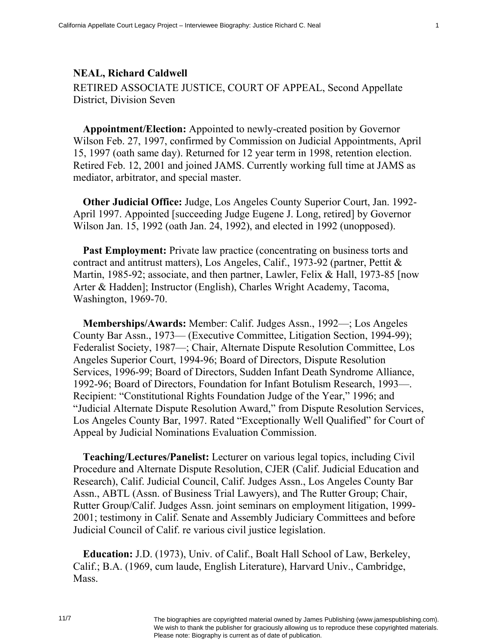## **NEAL, Richard Caldwell**

RETIRED ASSOCIATE JUSTICE, COURT OF APPEAL, Second Appellate District, Division Seven

**Appointment/Election:** Appointed to newly-created position by Governor Wilson Feb. 27, 1997, confirmed by Commission on Judicial Appointments, April 15, 1997 (oath same day). Returned for 12 year term in 1998, retention election. Retired Feb. 12, 2001 and joined JAMS. Currently working full time at JAMS as mediator, arbitrator, and special master.

**Other Judicial Office:** Judge, Los Angeles County Superior Court, Jan. 1992- April 1997. Appointed [succeeding Judge Eugene J. Long, retired] by Governor Wilson Jan. 15, 1992 (oath Jan. 24, 1992), and elected in 1992 (unopposed).

**Past Employment:** Private law practice (concentrating on business torts and contract and antitrust matters), Los Angeles, Calif., 1973-92 (partner, Pettit & Martin, 1985-92; associate, and then partner, Lawler, Felix & Hall, 1973-85 [now Arter & Hadden]; Instructor (English), Charles Wright Academy, Tacoma, Washington, 1969-70.

**Memberships/Awards:** Member: Calif. Judges Assn., 1992—; Los Angeles County Bar Assn., 1973— (Executive Committee, Litigation Section, 1994-99); Federalist Society, 1987—; Chair, Alternate Dispute Resolution Committee, Los Angeles Superior Court, 1994-96; Board of Directors, Dispute Resolution Services, 1996-99; Board of Directors, Sudden Infant Death Syndrome Alliance, 1992-96; Board of Directors, Foundation for Infant Botulism Research, 1993—. Recipient: "Constitutional Rights Foundation Judge of the Year," 1996; and "Judicial Alternate Dispute Resolution Award," from Dispute Resolution Services, Los Angeles County Bar, 1997. Rated "Exceptionally Well Qualified" for Court of Appeal by Judicial Nominations Evaluation Commission.

**Teaching/Lectures/Panelist:** Lecturer on various legal topics, including Civil Procedure and Alternate Dispute Resolution, CJER (Calif. Judicial Education and Research), Calif. Judicial Council, Calif. Judges Assn., Los Angeles County Bar Assn., ABTL (Assn. of Business Trial Lawyers), and The Rutter Group; Chair, Rutter Group/Calif. Judges Assn. joint seminars on employment litigation, 1999- 2001; testimony in Calif. Senate and Assembly Judiciary Committees and before Judicial Council of Calif. re various civil justice legislation.

**Education:** J.D. (1973), Univ. of Calif., Boalt Hall School of Law, Berkeley, Calif.; B.A. (1969, cum laude, English Literature), Harvard Univ., Cambridge, **Mass**